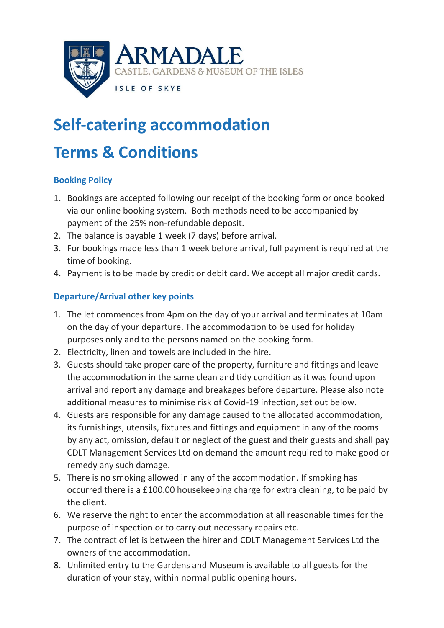

# **Self-catering accommodation**

# **Terms & Conditions**

## **Booking Policy**

- 1. Bookings are accepted following our receipt of the booking form or once booked via our online booking system. Both methods need to be accompanied by payment of the 25% non-refundable deposit.
- 2. The balance is payable 1 week (7 days) before arrival.
- 3. For bookings made less than 1 week before arrival, full payment is required at the time of booking.
- 4. Payment is to be made by credit or debit card. We accept all major credit cards.

## **Departure/Arrival other key points**

- 1. The let commences from 4pm on the day of your arrival and terminates at 10am on the day of your departure. The accommodation to be used for holiday purposes only and to the persons named on the booking form.
- 2. Electricity, linen and towels are included in the hire.
- 3. Guests should take proper care of the property, furniture and fittings and leave the accommodation in the same clean and tidy condition as it was found upon arrival and report any damage and breakages before departure. Please also note additional measures to minimise risk of Covid-19 infection, set out below.
- 4. Guests are responsible for any damage caused to the allocated accommodation, its furnishings, utensils, fixtures and fittings and equipment in any of the rooms by any act, omission, default or neglect of the guest and their guests and shall pay CDLT Management Services Ltd on demand the amount required to make good or remedy any such damage.
- 5. There is no smoking allowed in any of the accommodation. If smoking has occurred there is a £100.00 housekeeping charge for extra cleaning, to be paid by the client.
- 6. We reserve the right to enter the accommodation at all reasonable times for the purpose of inspection or to carry out necessary repairs etc.
- 7. The contract of let is between the hirer and CDLT Management Services Ltd the owners of the accommodation.
- 8. Unlimited entry to the Gardens and Museum is available to all guests for the duration of your stay, within normal public opening hours.